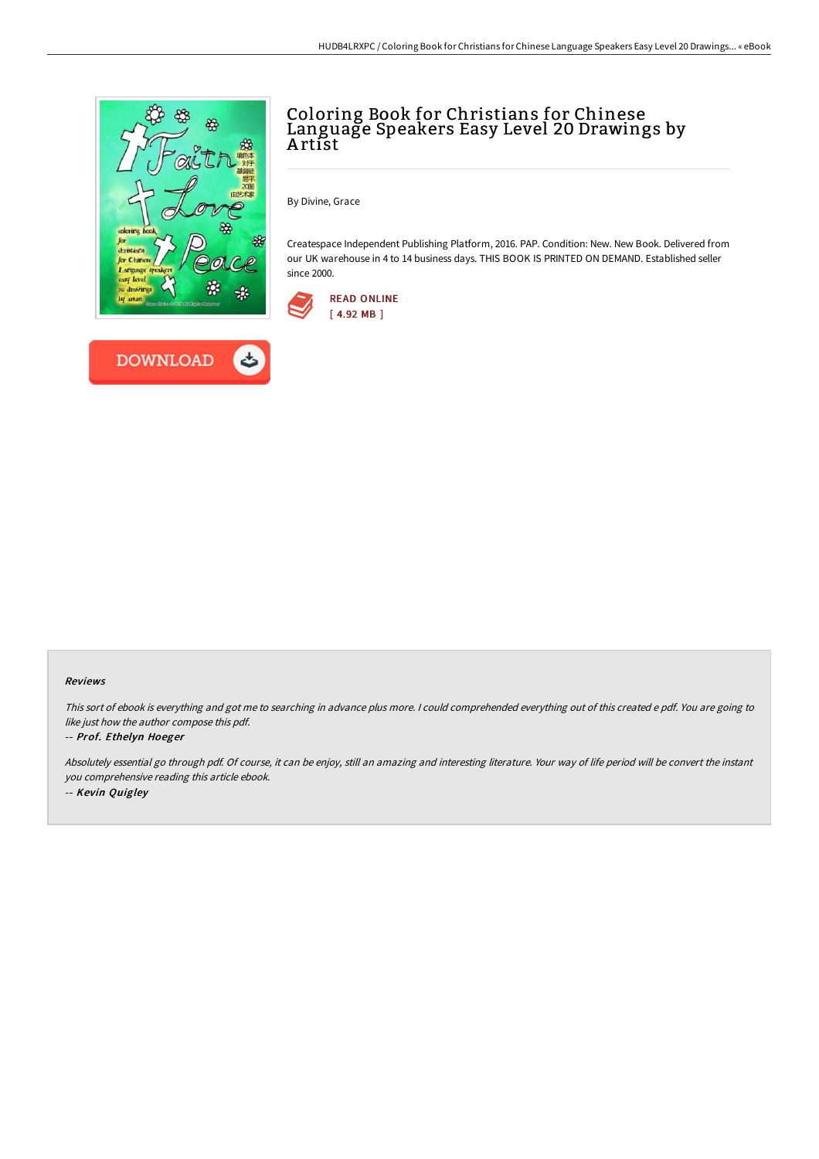



# Coloring Book for Christians for Chinese Language Speakers Easy Level 20 Drawings by A rtist

By Divine, Grace

Createspace Independent Publishing Platform, 2016. PAP. Condition: New. New Book. Delivered from our UK warehouse in 4 to 14 business days. THIS BOOK IS PRINTED ON DEMAND. Established seller since 2000.



#### Reviews

This sort of ebook is everything and got me to searching in advance plus more. <sup>I</sup> could comprehended everything out of this created <sup>e</sup> pdf. You are going to like just how the author compose this pdf.

### -- Prof. Ethelyn Hoeger

Absolutely essential go through pdf. Of course, it can be enjoy, still an amazing and interesting literature. Your way of life period will be convert the instant you comprehensive reading this article ebook. -- Kevin Quigley